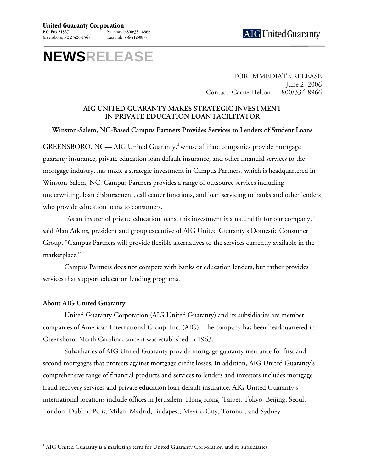## **NEWSRELEASE**

FOR IMMEDIATE RELEASE June 2, 2006 Contact: Carrie Helton — 800/334-8966

## **AIG UNITED GUARANTY MAKES STRATEGIC INVESTMENT IN PRIVATE EDUCATION LOAN FACILITATOR**

**Winston-Salem, NC-Based Campus Partners Provides Services to Lenders of Student Loans** 

GREENSBORO, NC— AIG United Guaranty,<sup>[1](#page-0-0)</sup> whose affiliate companies provide mortgage guaranty insurance, private education loan default insurance, and other financial services to the mortgage industry, has made a strategic investment in Campus Partners, which is headquartered in Winston-Salem, NC. Campus Partners provides a range of outsource services including underwriting, loan disbursement, call center functions, and loan servicing to banks and other lenders who provide education loans to consumers.

"As an insurer of private education loans, this investment is a natural fit for our company," said Alan Atkins, president and group executive of AIG United Guaranty's Domestic Consumer Group. "Campus Partners will provide flexible alternatives to the services currently available in the marketplace."

Campus Partners does not compete with banks or education lenders, but rather provides services that support education lending programs.

## **About AIG United Guaranty**

United Guaranty Corporation (AIG United Guaranty) and its subsidiaries are member companies of American International Group, Inc. (AIG). The company has been headquartered in Greensboro, North Carolina, since it was established in 1963.

Subsidiaries of AIG United Guaranty provide mortgage guaranty insurance for first and second mortgages that protects against mortgage credit losses. In addition, AIG United Guaranty's comprehensive range of financial products and services to lenders and investors includes mortgage fraud recovery services and private education loan default insurance. AIG United Guaranty's international locations include offices in Jerusalem, Hong Kong, Taipei, Tokyo, Beijing, Seoul, London, Dublin, Paris, Milan, Madrid, Budapest, Mexico City, Toronto, and Sydney.

<span id="page-0-0"></span> $\overline{a}$  $^1$  AIG United Guaranty is a marketing term for United Guaranty Corporation and its subsidiaries.